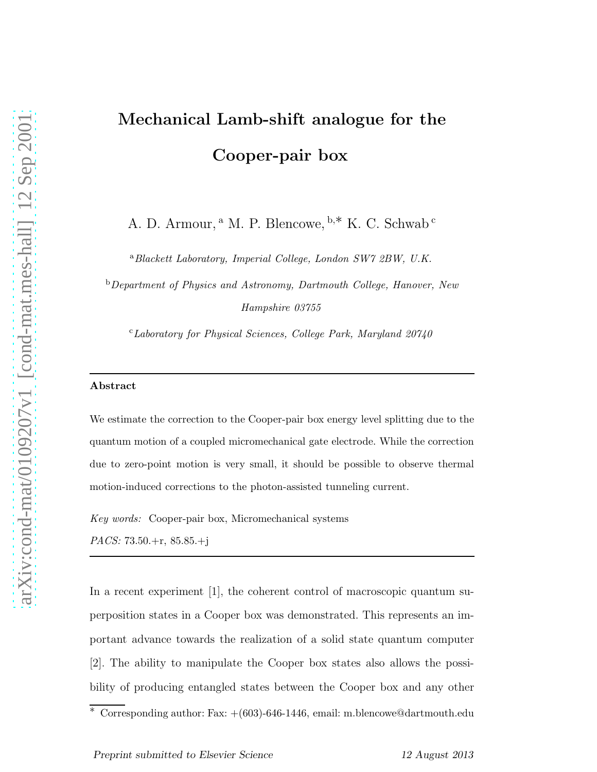## Mechanical Lamb-shift analogue for the Cooper-pair box

A. D. Armour, <sup>a</sup> M. P. Blencowe, <sup>b</sup>,∗ K. C. Schwab <sup>c</sup>

<sup>a</sup>*Blackett Laboratory, Imperial College, London SW7 2BW, U.K.*

<sup>b</sup>*Department of Physics and Astronomy, Dartmouth College, Hanover, New Hampshire 03755*

<sup>c</sup>*Laboratory for Physical Sciences, College Park, Maryland 20740*

## Abstract

We estimate the correction to the Cooper-pair box energy level splitting due to the quantum motion of a coupled micromechanical gate electrode. While the correction due to zero-point motion is very small, it should be possible to observe thermal motion-induced corrections to the photon-assisted tunneling current.

*Key words:* Cooper-pair box, Micromechanical systems

*PACS:* 73.50.+r, 85.85.+j

In a recent experiment [1], the coherent control of macroscopic quantum superposition states in a Cooper box was demonstrated. This represents an important advance towards the realization of a solid state quantum computer [2]. The ability to manipulate the Cooper box states also allows the possibility of producing entangled states between the Cooper box and any other

 $\overline{\text{*} \cdot \text{Corresponding author:} \text{ Fax:} + (603) - 646 - 1446, \text{ email: m.} \text{blencowe@dartmouth.edu}}$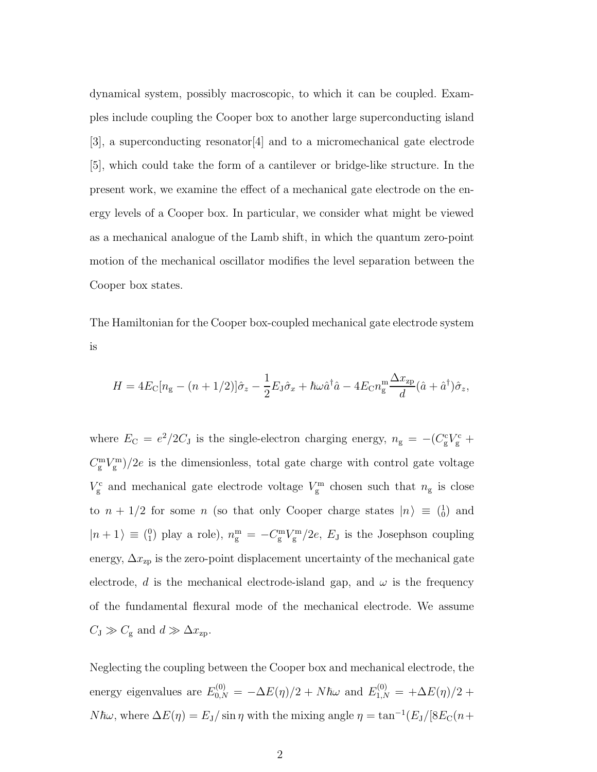dynamical system, possibly macroscopic, to which it can be coupled. Examples include coupling the Cooper box to another large superconducting island [3], a superconducting resonator[4] and to a micromechanical gate electrode [5], which could take the form of a cantilever or bridge-like structure. In the present work, we examine the effect of a mechanical gate electrode on the energy levels of a Cooper box. In particular, we consider what might be viewed as a mechanical analogue of the Lamb shift, in which the quantum zero-point motion of the mechanical oscillator modifies the level separation between the Cooper box states.

The Hamiltonian for the Cooper box-coupled mechanical gate electrode system is

$$
H = 4E_C[n_g - (n+1/2)]\hat{\sigma}_z - \frac{1}{2}E_J\hat{\sigma}_x + \hbar\omega \hat{a}^\dagger \hat{a} - 4E_C n_g^{\text{m}} \frac{\Delta x_{\text{zp}}}{d} (\hat{a} + \hat{a}^\dagger)\hat{\sigma}_z,
$$

where  $E_C = e^2/2C_J$  is the single-electron charging energy,  $n_g = -(C_g^c V_g^c +$  $C_g^{\text{m}}V_g^{\text{m}})/2e$  is the dimensionless, total gate charge with control gate voltage  $V_{\rm g}^{\rm c}$  and mechanical gate electrode voltage  $V_{\rm g}^{\rm m}$  chosen such that  $n_{\rm g}$  is close to  $n + 1/2$  for some n (so that only Cooper charge states  $|n\rangle \equiv \binom{1}{0}$  and  $|n+1\rangle \equiv \binom{0}{1}$  play a role),  $n_g^{\text{m}} = -C_g^{\text{m}}V_g^{\text{m}}/2e$ ,  $E_J$  is the Josephson coupling energy,  $\Delta x_{\text{zp}}$  is the zero-point displacement uncertainty of the mechanical gate electrode, d is the mechanical electrode-island gap, and  $\omega$  is the frequency of the fundamental flexural mode of the mechanical electrode. We assume  $C_{\text{J}} \gg C_{\text{g}}$  and  $d \gg \Delta x_{\text{zp}}$ .

Neglecting the coupling between the Cooper box and mechanical electrode, the energy eigenvalues are  $E_{0,N}^{(0)} = -\Delta E(\eta)/2 + N\hbar\omega$  and  $E_{1,N}^{(0)} = +\Delta E(\eta)/2 +$  $N\hbar\omega$ , where  $\Delta E(\eta) = E_J/\sin\eta$  with the mixing angle  $\eta = \tan^{-1}(E_J/[8E_C(n+\eta)]$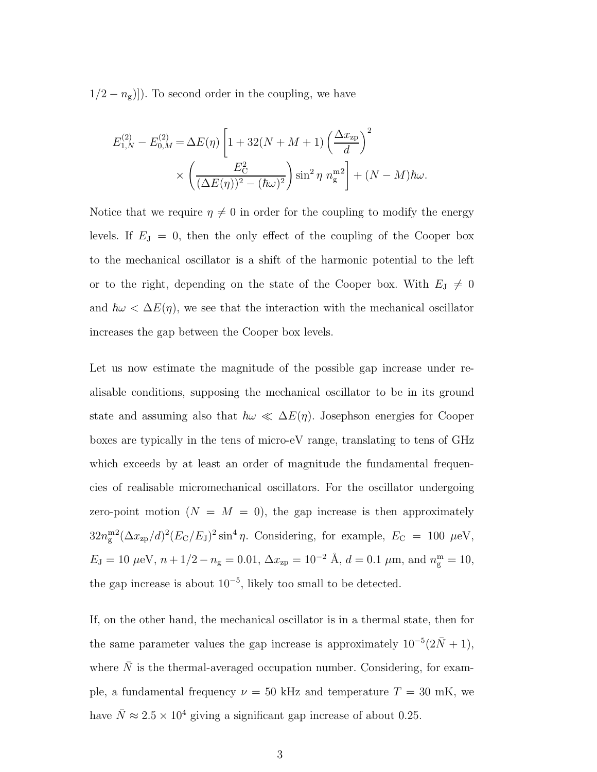$1/2 - n<sub>g</sub>$ ]). To second order in the coupling, we have

$$
E_{1,N}^{(2)} - E_{0,M}^{(2)} = \Delta E(\eta) \left[ 1 + 32(N + M + 1) \left( \frac{\Delta x_{\text{zp}}}{d} \right)^2 \right. \\
\times \left( \frac{E_{\text{C}}^2}{(\Delta E(\eta))^2 - (\hbar \omega)^2} \right) \sin^2 \eta \left( n_{\text{g}}^{\text{m}} \right) + (N - M) \hbar \omega.
$$

Notice that we require  $\eta \neq 0$  in order for the coupling to modify the energy levels. If  $E_J = 0$ , then the only effect of the coupling of the Cooper box to the mechanical oscillator is a shift of the harmonic potential to the left or to the right, depending on the state of the Cooper box. With  $E_J \neq 0$ and  $\hbar\omega < \Delta E(\eta)$ , we see that the interaction with the mechanical oscillator increases the gap between the Cooper box levels.

Let us now estimate the magnitude of the possible gap increase under realisable conditions, supposing the mechanical oscillator to be in its ground state and assuming also that  $\hbar\omega \ll \Delta E(\eta)$ . Josephson energies for Cooper boxes are typically in the tens of micro-eV range, translating to tens of GHz which exceeds by at least an order of magnitude the fundamental frequencies of realisable micromechanical oscillators. For the oscillator undergoing zero-point motion  $(N = M = 0)$ , the gap increase is then approximately  $32n_{\rm g}^{\rm m2}(\Delta x_{\rm zp}/d)^2(E_{\rm C}/E_{\rm J})^2\sin^4\eta$ . Considering, for example,  $E_{\rm C} = 100 \mu{\rm eV}$ ,  $E_{\rm J} = 10 \,\mu\text{eV}, \, n + 1/2 - n_{\rm g} = 0.01, \, \Delta x_{\rm zp} = 10^{-2} \text{ \AA}, \, d = 0.1 \,\mu\text{m}, \text{ and } n_{\rm g}^{\rm m} = 10,$ the gap increase is about  $10^{-5}$ , likely too small to be detected.

If, on the other hand, the mechanical oscillator is in a thermal state, then for the same parameter values the gap increase is approximately  $10^{-5}(2\bar{N}+1)$ , where  $N$  is the thermal-averaged occupation number. Considering, for example, a fundamental frequency  $\nu = 50$  kHz and temperature  $T = 30$  mK, we have  $\bar{N} \approx 2.5 \times 10^4$  giving a significant gap increase of about 0.25.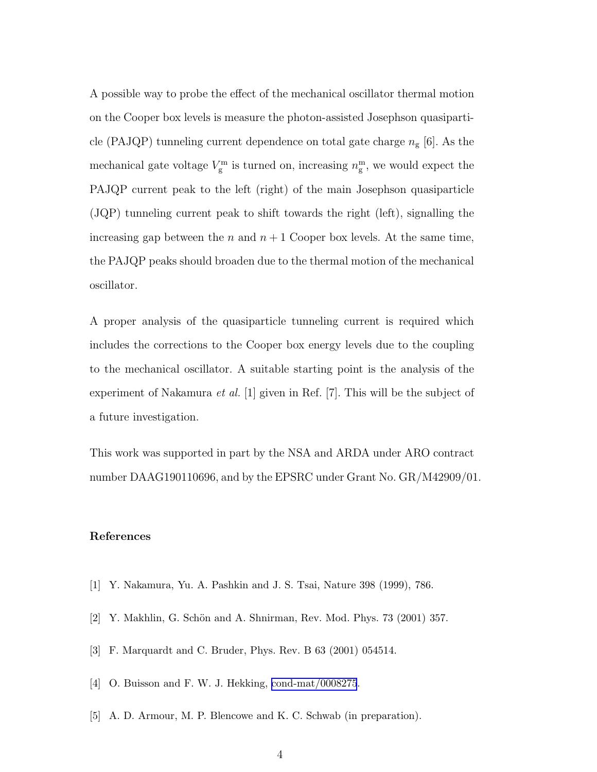A possible way to probe the effect of the mechanical oscillator thermal motion on the Cooper box levels is measure the photon-assisted Josephson quasiparticle (PAJQP) tunneling current dependence on total gate charge  $n_{\rm g}$  [6]. As the mechanical gate voltage  $V_g^{\text{m}}$  is turned on, increasing  $n_g^{\text{m}}$ , we would expect the PAJQP current peak to the left (right) of the main Josephson quasiparticle (JQP) tunneling current peak to shift towards the right (left), signalling the increasing gap between the n and  $n+1$  Cooper box levels. At the same time, the PAJQP peaks should broaden due to the thermal motion of the mechanical oscillator.

A proper analysis of the quasiparticle tunneling current is required which includes the corrections to the Cooper box energy levels due to the coupling to the mechanical oscillator. A suitable starting point is the analysis of the experiment of Nakamura *et al.*  $|1|$  given in Ref.  $|7|$ . This will be the subject of a future investigation.

This work was supported in part by the NSA and ARDA under ARO contract number DAAG190110696, and by the EPSRC under Grant No. GR/M42909/01.

## References

- [1] Y. Nakamura, Yu. A. Pashkin and J. S. Tsai, Nature 398 (1999), 786.
- [2] Y. Makhlin, G. Schön and A. Shnirman, Rev. Mod. Phys. 73 (2001) 357.
- [3] F. Marquardt and C. Bruder, Phys. Rev. B 63 (2001) 054514.
- [4] O. Buisson and F. W. J. Hekking, [cond-mat/0008275](http://arxiv.org/abs/cond-mat/0008275).
- [5] A. D. Armour, M. P. Blencowe and K. C. Schwab (in preparation).